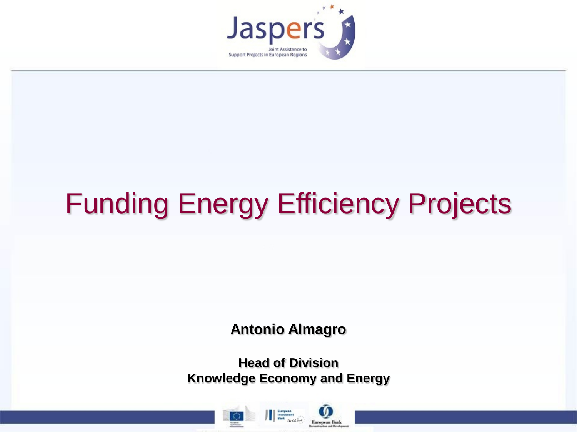

# Funding Energy Efficiency Projects

**Antonio Almagro**

**Head of Division Knowledge Economy and Energy**



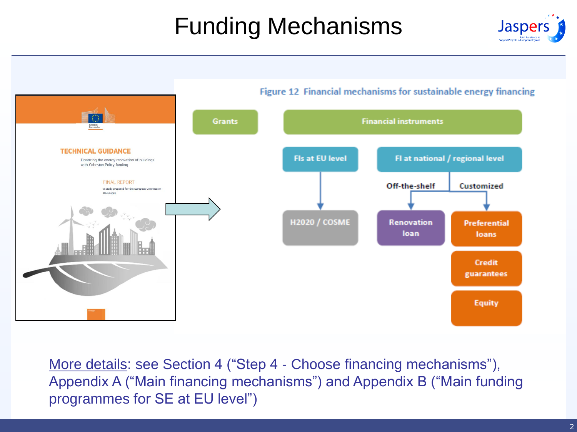# Funding Mechanisms





More details: see Section 4 ("Step 4 - Choose financing mechanisms"), Appendix A ("Main financing mechanisms") and Appendix B ("Main funding programmes for SE at EU level")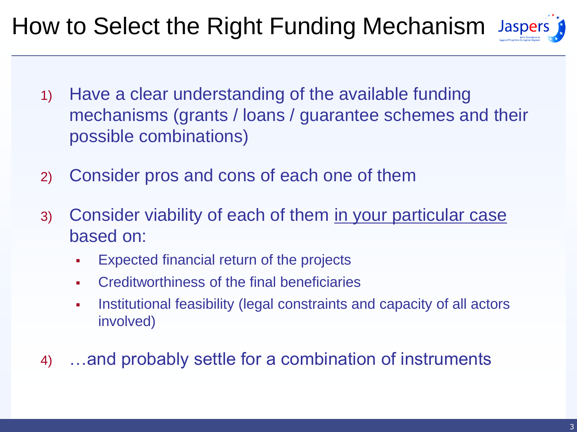# How to Select the Right Funding Mechanism Jaspers

- 1) Have a clear understanding of the available funding mechanisms (grants / loans / guarantee schemes and their possible combinations)
- 2) Consider pros and cons of each one of them
- 3) Consider viability of each of them in your particular case based on:
	- Expected financial return of the projects
	- Creditworthiness of the final beneficiaries
	- Institutional feasibility (legal constraints and capacity of all actors involved)
- 4) …and probably settle for a combination of instruments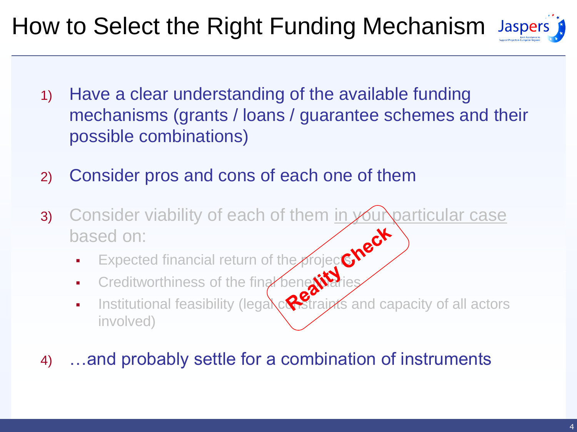# How to Select the Right Funding Mechanism Jaspers

- 1) Have a clear understanding of the available funding mechanisms (grants / loans / guarantee schemes and their possible combinations)
- 2) Consider pros and cons of each one of them
- 3) Consider viability of each of them in your particular case based on:
	- **Expected financial return of the projects**
	- **Creditworthiness of the final beneficialies**
	- Institutional feasibility (legal  $\alpha$  straints and capacity of all actors involved)
- 4) …and probably settle for a combination of instruments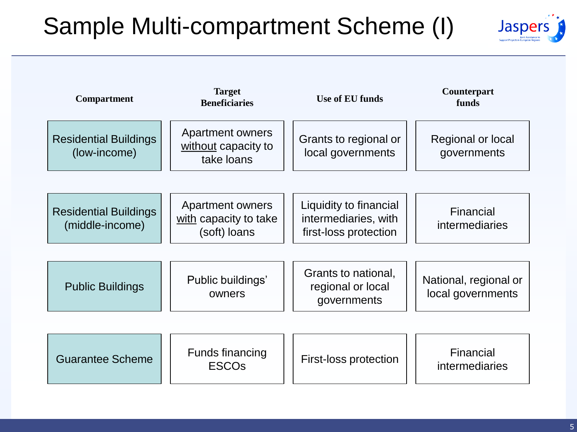#### Sample Multi-compartment Scheme (I)



| <b>Compartment</b>                              | <b>Target</b><br><b>Beneficiaries</b>                            | <b>Use of EU funds</b>                                                  | Counterpart<br>funds                       |
|-------------------------------------------------|------------------------------------------------------------------|-------------------------------------------------------------------------|--------------------------------------------|
| <b>Residential Buildings</b><br>(low-income)    | <b>Apartment owners</b><br>without capacity to<br>take loans     | Grants to regional or<br>local governments                              | Regional or local<br>governments           |
|                                                 |                                                                  |                                                                         |                                            |
| <b>Residential Buildings</b><br>(middle-income) | <b>Apartment owners</b><br>with capacity to take<br>(soft) loans | Liquidity to financial<br>intermediaries, with<br>first-loss protection | Financial<br><i>intermediaries</i>         |
|                                                 |                                                                  |                                                                         |                                            |
| <b>Public Buildings</b>                         | Public buildings'<br>owners                                      | Grants to national,<br>regional or local<br>governments                 | National, regional or<br>local governments |
|                                                 |                                                                  |                                                                         |                                            |
| <b>Guarantee Scheme</b>                         | <b>Funds financing</b><br><b>ESCOs</b>                           | First-loss protection                                                   | Financial<br>intermediaries                |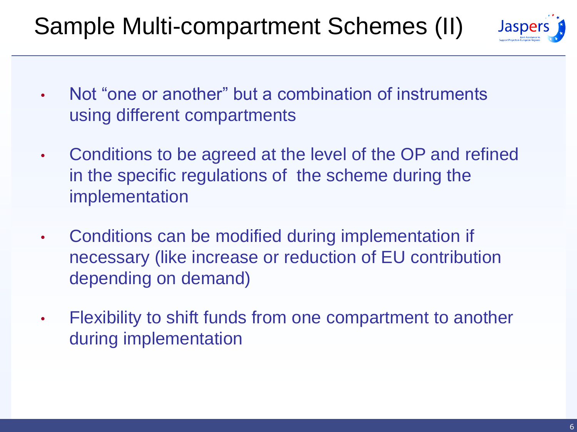#### Sample Multi-compartment Schemes (II)



- Not "one or another" but a combination of instruments using different compartments
- Conditions to be agreed at the level of the OP and refined in the specific regulations of the scheme during the implementation
- Conditions can be modified during implementation if necessary (like increase or reduction of EU contribution depending on demand)
- Flexibility to shift funds from one compartment to another during implementation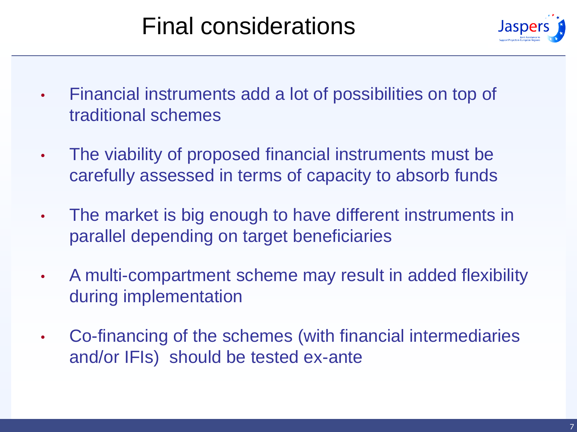#### Final considerations



- Financial instruments add a lot of possibilities on top of traditional schemes
- The viability of proposed financial instruments must be carefully assessed in terms of capacity to absorb funds
- The market is big enough to have different instruments in parallel depending on target beneficiaries
- A multi-compartment scheme may result in added flexibility during implementation
- Co-financing of the schemes (with financial intermediaries and/or IFIs) should be tested ex-ante